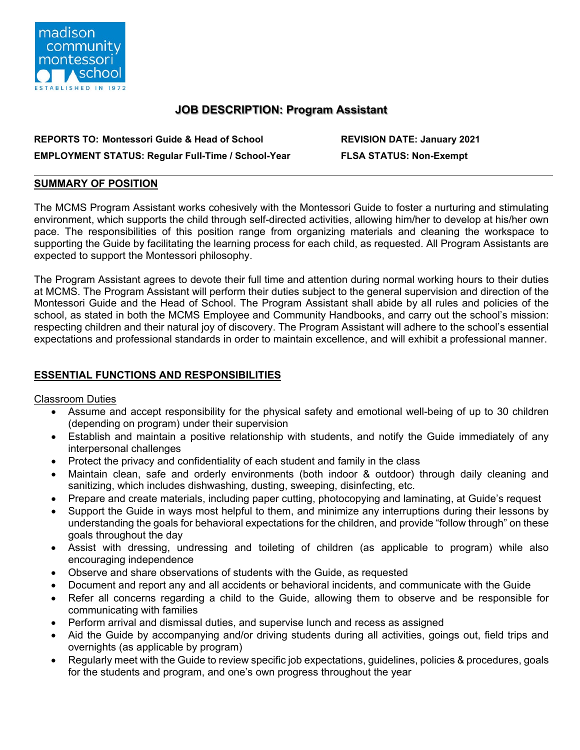

# **JOB DESCRIPTION: Program Assistant**

| <b>REPORTS TO: Montessori Guide &amp; Head of School</b>  |
|-----------------------------------------------------------|
| <b>EMPLOYMENT STATUS: Regular Full-Time / School-Year</b> |

**REVISION DATE: January 2021 FLSA STATUS: Non-Exempt** 

#### **SUMMARY OF POSITION**

The MCMS Program Assistant works cohesively with the Montessori Guide to foster a nurturing and stimulating environment, which supports the child through self-directed activities, allowing him/her to develop at his/her own pace. The responsibilities of this position range from organizing materials and cleaning the workspace to supporting the Guide by facilitating the learning process for each child, as requested. All Program Assistants are expected to support the Montessori philosophy.

The Program Assistant agrees to devote their full time and attention during normal working hours to their duties at MCMS. The Program Assistant will perform their duties subject to the general supervision and direction of the Montessori Guide and the Head of School. The Program Assistant shall abide by all rules and policies of the school, as stated in both the MCMS Employee and Community Handbooks, and carry out the school's mission: respecting children and their natural joy of discovery. The Program Assistant will adhere to the school's essential expectations and professional standards in order to maintain excellence, and will exhibit a professional manner.

## **ESSENTIAL FUNCTIONS AND RESPONSIBILITIES**

#### Classroom Duties

- Assume and accept responsibility for the physical safety and emotional well-being of up to 30 children (depending on program) under their supervision
- Establish and maintain a positive relationship with students, and notify the Guide immediately of any interpersonal challenges
- Protect the privacy and confidentiality of each student and family in the class
- Maintain clean, safe and orderly environments (both indoor & outdoor) through daily cleaning and sanitizing, which includes dishwashing, dusting, sweeping, disinfecting, etc.
- Prepare and create materials, including paper cutting, photocopying and laminating, at Guide's request
- Support the Guide in ways most helpful to them, and minimize any interruptions during their lessons by understanding the goals for behavioral expectations for the children, and provide "follow through" on these goals throughout the day
- Assist with dressing, undressing and toileting of children (as applicable to program) while also encouraging independence
- Observe and share observations of students with the Guide, as requested
- Document and report any and all accidents or behavioral incidents, and communicate with the Guide
- Refer all concerns regarding a child to the Guide, allowing them to observe and be responsible for communicating with families
- Perform arrival and dismissal duties, and supervise lunch and recess as assigned
- Aid the Guide by accompanying and/or driving students during all activities, goings out, field trips and overnights (as applicable by program)
- Regularly meet with the Guide to review specific job expectations, guidelines, policies & procedures, goals for the students and program, and one's own progress throughout the year